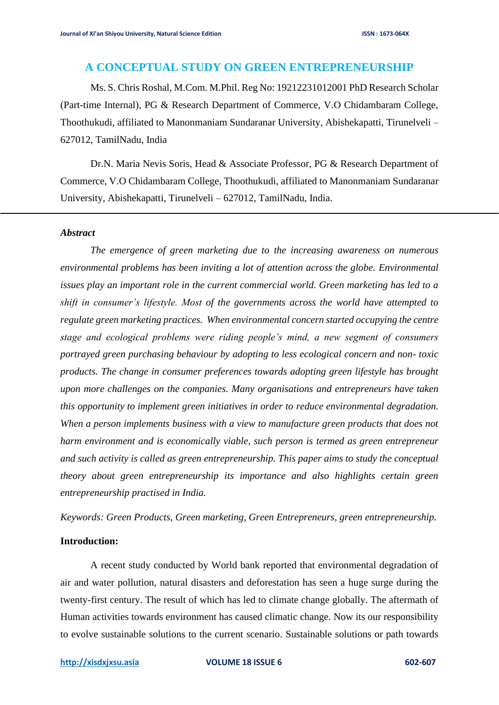# **A CONCEPTUAL STUDY ON GREEN ENTREPRENEURSHIP**

Ms. S. Chris Roshal, M.Com. M.Phil. Reg No: 19212231012001 PhD Research Scholar (Part-time Internal), PG & Research Department of Commerce, V.O Chidambaram College, Thoothukudi, affiliated to Manonmaniam Sundaranar University, Abishekapatti, Tirunelveli – 627012, TamilNadu, India

Dr.N. Maria Nevis Soris, Head & Associate Professor, PG & Research Department of Commerce, V.O Chidambaram College, Thoothukudi, affiliated to Manonmaniam Sundaranar University, Abishekapatti, Tirunelveli – 627012, TamilNadu, India.

### *Abstract*

j

*The emergence of green marketing due to the increasing awareness on numerous environmental problems has been inviting a lot of attention across the globe. Environmental issues play an important role in the current commercial world. Green marketing has led to a shift in consumer's lifestyle. Most of the governments across the world have attempted to regulate green marketing practices. When environmental concern started occupying the centre stage and ecological problems were riding people's mind, a new segment of consumers portrayed green purchasing behaviour by adopting to less ecological concern and non- toxic products. The change in consumer preferences towards adopting green lifestyle has brought upon more challenges on the companies. Many organisations and entrepreneurs have taken this opportunity to implement green initiatives in order to reduce environmental degradation. When a person implements business with a view to manufacture green products that does not harm environment and is economically viable, such person is termed as green entrepreneur and such activity is called as green entrepreneurship. This paper aims to study the conceptual theory about green entrepreneurship its importance and also highlights certain green entrepreneurship practised in India.*

*Keywords: Green Products, Green marketing, Green Entrepreneurs, green entrepreneurship.*

#### **Introduction:**

A recent study conducted by World bank reported that environmental degradation of air and water pollution, natural disasters and deforestation has seen a huge surge during the twenty-first century. The result of which has led to climate change globally. The aftermath of Human activities towards environment has caused climatic change. Now its our responsibility to evolve sustainable solutions to the current scenario. Sustainable solutions or path towards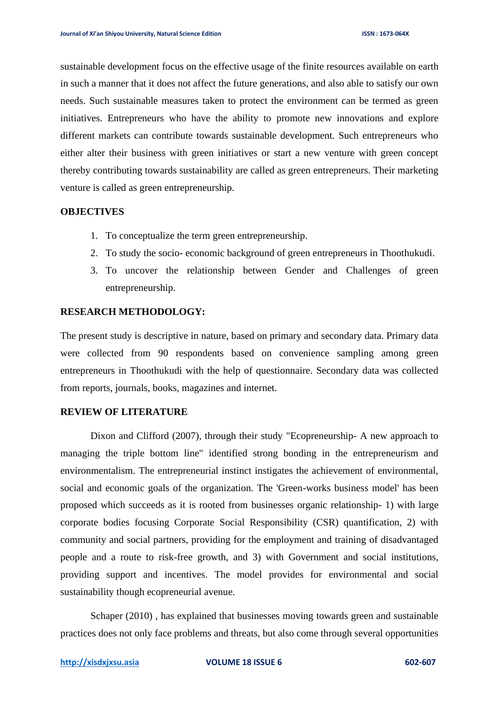sustainable development focus on the effective usage of the finite resources available on earth in such a manner that it does not affect the future generations, and also able to satisfy our own needs. Such sustainable measures taken to protect the environment can be termed as green initiatives. Entrepreneurs who have the ability to promote new innovations and explore different markets can contribute towards sustainable development. Such entrepreneurs who either alter their business with green initiatives or start a new venture with green concept thereby contributing towards sustainability are called as green entrepreneurs. Their marketing venture is called as green entrepreneurship.

#### **OBJECTIVES**

- 1. To conceptualize the term green entrepreneurship.
- 2. To study the socio- economic background of green entrepreneurs in Thoothukudi.
- 3. To uncover the relationship between Gender and Challenges of green entrepreneurship.

### **RESEARCH METHODOLOGY:**

The present study is descriptive in nature, based on primary and secondary data. Primary data were collected from 90 respondents based on convenience sampling among green entrepreneurs in Thoothukudi with the help of questionnaire. Secondary data was collected from reports, journals, books, magazines and internet.

### **REVIEW OF LITERATURE**

Dixon and Clifford (2007), through their study "Ecopreneurship- A new approach to managing the triple bottom line" identified strong bonding in the entrepreneurism and environmentalism. The entrepreneurial instinct instigates the achievement of environmental, social and economic goals of the organization. The 'Green-works business model' has been proposed which succeeds as it is rooted from businesses organic relationship- 1) with large corporate bodies focusing Corporate Social Responsibility (CSR) quantification, 2) with community and social partners, providing for the employment and training of disadvantaged people and a route to risk-free growth, and 3) with Government and social institutions, providing support and incentives. The model provides for environmental and social sustainability though ecopreneurial avenue.

Schaper (2010) , has explained that businesses moving towards green and sustainable practices does not only face problems and threats, but also come through several opportunities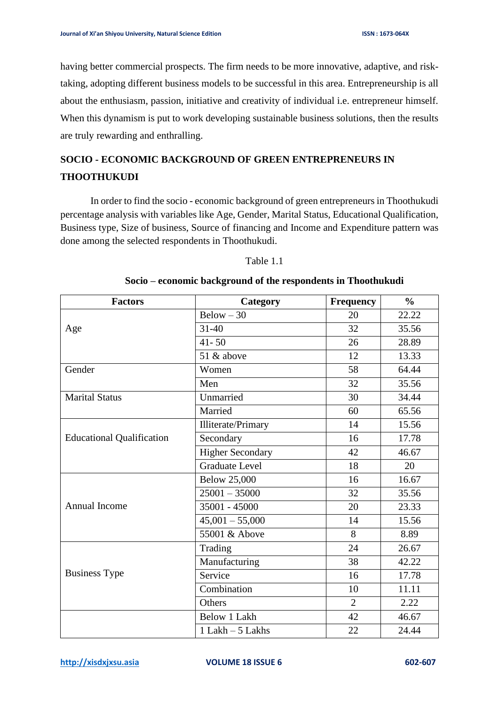having better commercial prospects. The firm needs to be more innovative, adaptive, and risktaking, adopting different business models to be successful in this area. Entrepreneurship is all about the enthusiasm, passion, initiative and creativity of individual i.e. entrepreneur himself. When this dynamism is put to work developing sustainable business solutions, then the results are truly rewarding and enthralling.

# **SOCIO - ECONOMIC BACKGROUND OF GREEN ENTREPRENEURS IN THOOTHUKUDI**

In order to find the socio - economic background of green entrepreneurs in Thoothukudi percentage analysis with variables like Age, Gender, Marital Status, Educational Qualification, Business type, Size of business, Source of financing and Income and Expenditure pattern was done among the selected respondents in Thoothukudi.

#### Table 1.1

| <b>Factors</b>                   | Category                  | <b>Frequency</b> | $\frac{0}{0}$ |
|----------------------------------|---------------------------|------------------|---------------|
| Age                              | $Below - 30$              | 20               | 22.22         |
|                                  | $31 - 40$                 | 32               | 35.56         |
|                                  | $41 - 50$                 | 26               | 28.89         |
|                                  | 51 & above                | 12               | 13.33         |
| Gender                           | Women                     | 58               | 64.44         |
|                                  | Men                       | 32               | 35.56         |
| <b>Marital Status</b>            | Unmarried                 | 30               | 34.44         |
|                                  | Married                   | 60               | 65.56         |
|                                  | <b>Illiterate/Primary</b> | 14               | 15.56         |
| <b>Educational Qualification</b> | Secondary                 | 16               | 17.78         |
|                                  | <b>Higher Secondary</b>   | 42               | 46.67         |
|                                  | <b>Graduate Level</b>     | 18               | 20            |
|                                  | <b>Below 25,000</b>       | 16               | 16.67         |
|                                  | $25001 - 35000$           | 32               | 35.56         |
| <b>Annual Income</b>             | 35001 - 45000             | 20               | 23.33         |
|                                  | $45,001 - 55,000$         | 14               | 15.56         |
|                                  | 55001 & Above             | 8                | 8.89          |
|                                  | Trading                   | 24               | 26.67         |
|                                  | Manufacturing             | 38               | 42.22         |
| <b>Business Type</b>             | Service                   | 16               | 17.78         |
|                                  | Combination               | 10               | 11.11         |
|                                  | Others                    | $\overline{2}$   | 2.22          |
|                                  | Below 1 Lakh              | 42               | 46.67         |
|                                  | $1$ Lakh $-5$ Lakhs       | 22               | 24.44         |

# **Socio – economic background of the respondents in Thoothukudi**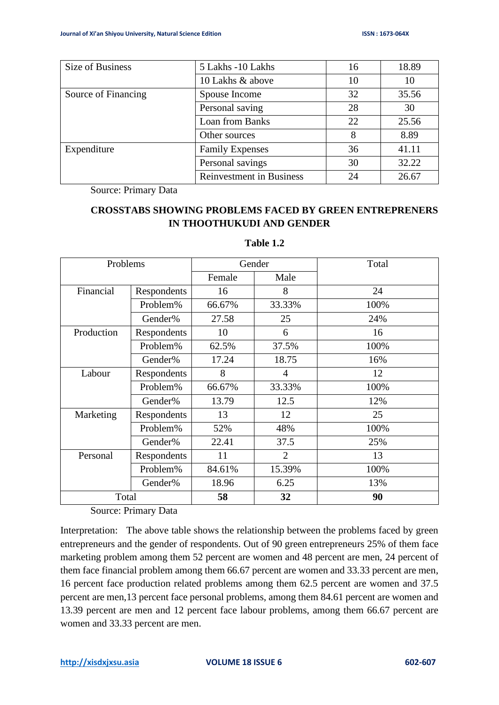| Size of Business    | 5 Lakhs -10 Lakhs               | 16 | 18.89 |
|---------------------|---------------------------------|----|-------|
|                     | 10 Lakhs & above                | 10 | 10    |
| Source of Financing | Spouse Income                   | 32 | 35.56 |
|                     | Personal saving                 | 28 | 30    |
|                     | Loan from Banks                 | 22 | 25.56 |
|                     | Other sources                   | 8  | 8.89  |
| Expenditure         | <b>Family Expenses</b>          | 36 | 41.11 |
|                     | Personal savings                | 30 | 32.22 |
|                     | <b>Reinvestment in Business</b> | 24 | 26.67 |

Source: Primary Data

# **CROSSTABS SHOWING PROBLEMS FACED BY GREEN ENTREPRENERS IN THOOTHUKUDI AND GENDER**

| Problems   |             | Gender |                | Total |
|------------|-------------|--------|----------------|-------|
|            |             | Female | Male           |       |
| Financial  | Respondents | 16     | 8              | 24    |
|            | Problem%    | 66.67% | 33.33%         | 100%  |
|            | Gender%     | 27.58  | 25             | 24%   |
| Production | Respondents | 10     | 6              | 16    |
|            | Problem%    | 62.5%  | 37.5%          | 100%  |
|            | Gender%     | 17.24  | 18.75          | 16%   |
| Labour     | Respondents | 8      | $\overline{4}$ | 12    |
|            | Problem%    | 66.67% | 33.33%         | 100%  |
|            | Gender%     | 13.79  | 12.5           | 12%   |
| Marketing  | Respondents | 13     | 12             | 25    |
|            | Problem%    | 52%    | 48%            | 100%  |
|            | Gender%     | 22.41  | 37.5           | 25%   |
| Personal   | Respondents | 11     | $\overline{2}$ | 13    |
|            | Problem%    | 84.61% | 15.39%         | 100%  |
|            | Gender%     | 18.96  | 6.25           | 13%   |
| Total      |             | 58     | 32             | 90    |

## **Table 1.2**

Source: Primary Data

Interpretation: The above table shows the relationship between the problems faced by green entrepreneurs and the gender of respondents. Out of 90 green entrepreneurs 25% of them face marketing problem among them 52 percent are women and 48 percent are men, 24 percent of them face financial problem among them 66.67 percent are women and 33.33 percent are men, 16 percent face production related problems among them 62.5 percent are women and 37.5 percent are men,13 percent face personal problems, among them 84.61 percent are women and 13.39 percent are men and 12 percent face labour problems, among them 66.67 percent are women and 33.33 percent are men.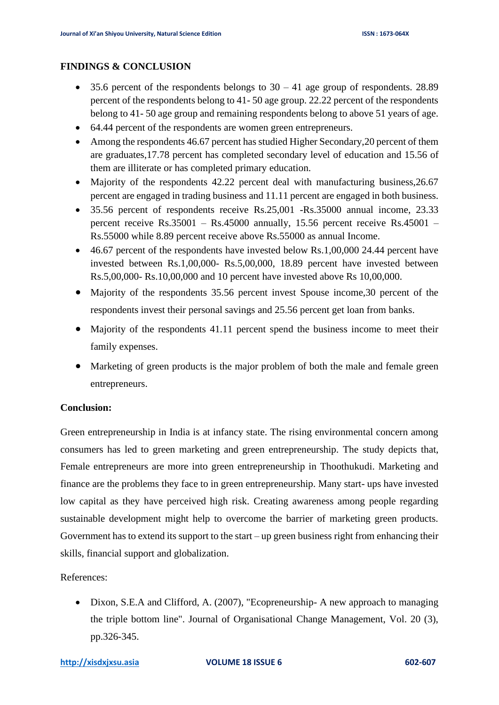## **FINDINGS & CONCLUSION**

- 35.6 percent of the respondents belongs to  $30 41$  age group of respondents. 28.89 percent of the respondents belong to 41- 50 age group. 22.22 percent of the respondents belong to 41- 50 age group and remaining respondents belong to above 51 years of age.
- 64.44 percent of the respondents are women green entrepreneurs.
- Among the respondents 46.67 percent has studied Higher Secondary, 20 percent of them are graduates,17.78 percent has completed secondary level of education and 15.56 of them are illiterate or has completed primary education.
- Majority of the respondents 42.22 percent deal with manufacturing business, 26.67 percent are engaged in trading business and 11.11 percent are engaged in both business.
- 35.56 percent of respondents receive Rs.25,001 -Rs.35000 annual income, 23.33 percent receive Rs.35001 – Rs.45000 annually, 15.56 percent receive Rs.45001 – Rs.55000 while 8.89 percent receive above Rs.55000 as annual Income.
- 46.67 percent of the respondents have invested below Rs.1,00,000 24.44 percent have invested between Rs.1,00,000- Rs.5,00,000, 18.89 percent have invested between Rs.5,00,000- Rs.10,00,000 and 10 percent have invested above Rs 10,00,000.
- Majority of the respondents 35.56 percent invest Spouse income, 30 percent of the respondents invest their personal savings and 25.56 percent get loan from banks.
- Majority of the respondents 41.11 percent spend the business income to meet their family expenses.
- Marketing of green products is the major problem of both the male and female green entrepreneurs.

# **Conclusion:**

Green entrepreneurship in India is at infancy state. The rising environmental concern among consumers has led to green marketing and green entrepreneurship. The study depicts that, Female entrepreneurs are more into green entrepreneurship in Thoothukudi. Marketing and finance are the problems they face to in green entrepreneurship. Many start- ups have invested low capital as they have perceived high risk. Creating awareness among people regarding sustainable development might help to overcome the barrier of marketing green products. Government has to extend its support to the start – up green business right from enhancing their skills, financial support and globalization.

# References:

• Dixon, S.E.A and Clifford, A. (2007), "Ecopreneurship- A new approach to managing the triple bottom line". Journal of Organisational Change Management, Vol. 20 (3), pp.326-345.